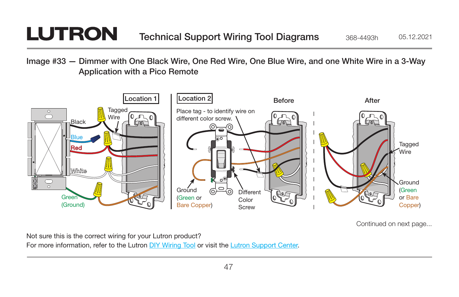## **LUTRON**

Image #33 — Dimmer with One Black Wire, One Red Wire, One Blue Wire, and one White Wire in a 3-Way Application with a Pico Remote



Continued on next page...

Not sure this is the correct wiring for your Lutron product?

For more information, refer to the Lutron [DIY Wiring Tool](http://www.lutron.com/wiringtool) or visit the [Lutron Support Center.](http://www.lutron.com/en-US/pages/SupportCenter/support.aspx)